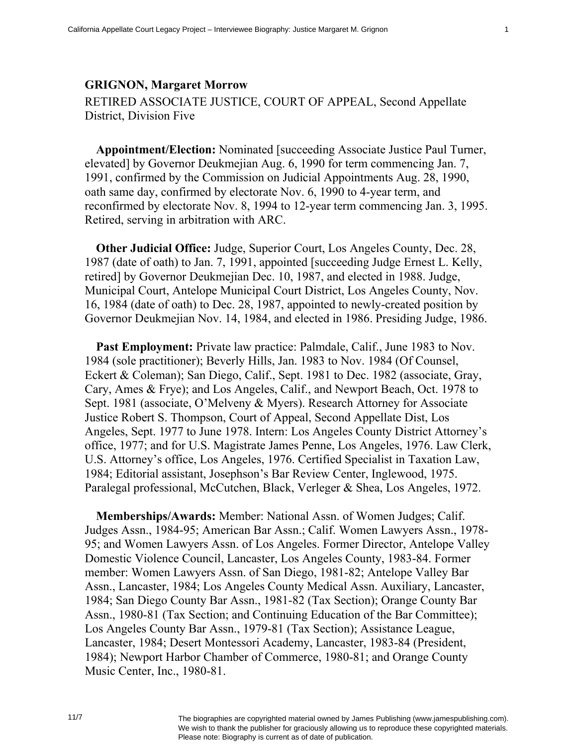## **GRIGNON, Margaret Morrow**

RETIRED ASSOCIATE JUSTICE, COURT OF APPEAL, Second Appellate District, Division Five

**Appointment/Election:** Nominated [succeeding Associate Justice Paul Turner, elevated] by Governor Deukmejian Aug. 6, 1990 for term commencing Jan. 7, 1991, confirmed by the Commission on Judicial Appointments Aug. 28, 1990, oath same day, confirmed by electorate Nov. 6, 1990 to 4-year term, and reconfirmed by electorate Nov. 8, 1994 to 12-year term commencing Jan. 3, 1995. Retired, serving in arbitration with ARC.

**Other Judicial Office:** Judge, Superior Court, Los Angeles County, Dec. 28, 1987 (date of oath) to Jan. 7, 1991, appointed [succeeding Judge Ernest L. Kelly, retired] by Governor Deukmejian Dec. 10, 1987, and elected in 1988. Judge, Municipal Court, Antelope Municipal Court District, Los Angeles County, Nov. 16, 1984 (date of oath) to Dec. 28, 1987, appointed to newly-created position by Governor Deukmejian Nov. 14, 1984, and elected in 1986. Presiding Judge, 1986.

Past Employment: Private law practice: Palmdale, Calif., June 1983 to Nov. 1984 (sole practitioner); Beverly Hills, Jan. 1983 to Nov. 1984 (Of Counsel, Eckert & Coleman); San Diego, Calif., Sept. 1981 to Dec. 1982 (associate, Gray, Cary, Ames & Frye); and Los Angeles, Calif., and Newport Beach, Oct. 1978 to Sept. 1981 (associate, O'Melveny & Myers). Research Attorney for Associate Justice Robert S. Thompson, Court of Appeal, Second Appellate Dist, Los Angeles, Sept. 1977 to June 1978. Intern: Los Angeles County District Attorney's office, 1977; and for U.S. Magistrate James Penne, Los Angeles, 1976. Law Clerk, U.S. Attorney's office, Los Angeles, 1976. Certified Specialist in Taxation Law, 1984; Editorial assistant, Josephson's Bar Review Center, Inglewood, 1975. Paralegal professional, McCutchen, Black, Verleger & Shea, Los Angeles, 1972.

**Memberships/Awards:** Member: National Assn. of Women Judges; Calif. Judges Assn., 1984-95; American Bar Assn.; Calif. Women Lawyers Assn., 1978- 95; and Women Lawyers Assn. of Los Angeles. Former Director, Antelope Valley Domestic Violence Council, Lancaster, Los Angeles County, 1983-84. Former member: Women Lawyers Assn. of San Diego, 1981-82; Antelope Valley Bar Assn., Lancaster, 1984; Los Angeles County Medical Assn. Auxiliary, Lancaster, 1984; San Diego County Bar Assn., 1981-82 (Tax Section); Orange County Bar Assn., 1980-81 (Tax Section; and Continuing Education of the Bar Committee); Los Angeles County Bar Assn., 1979-81 (Tax Section); Assistance League, Lancaster, 1984; Desert Montessori Academy, Lancaster, 1983-84 (President, 1984); Newport Harbor Chamber of Commerce, 1980-81; and Orange County Music Center, Inc., 1980-81.